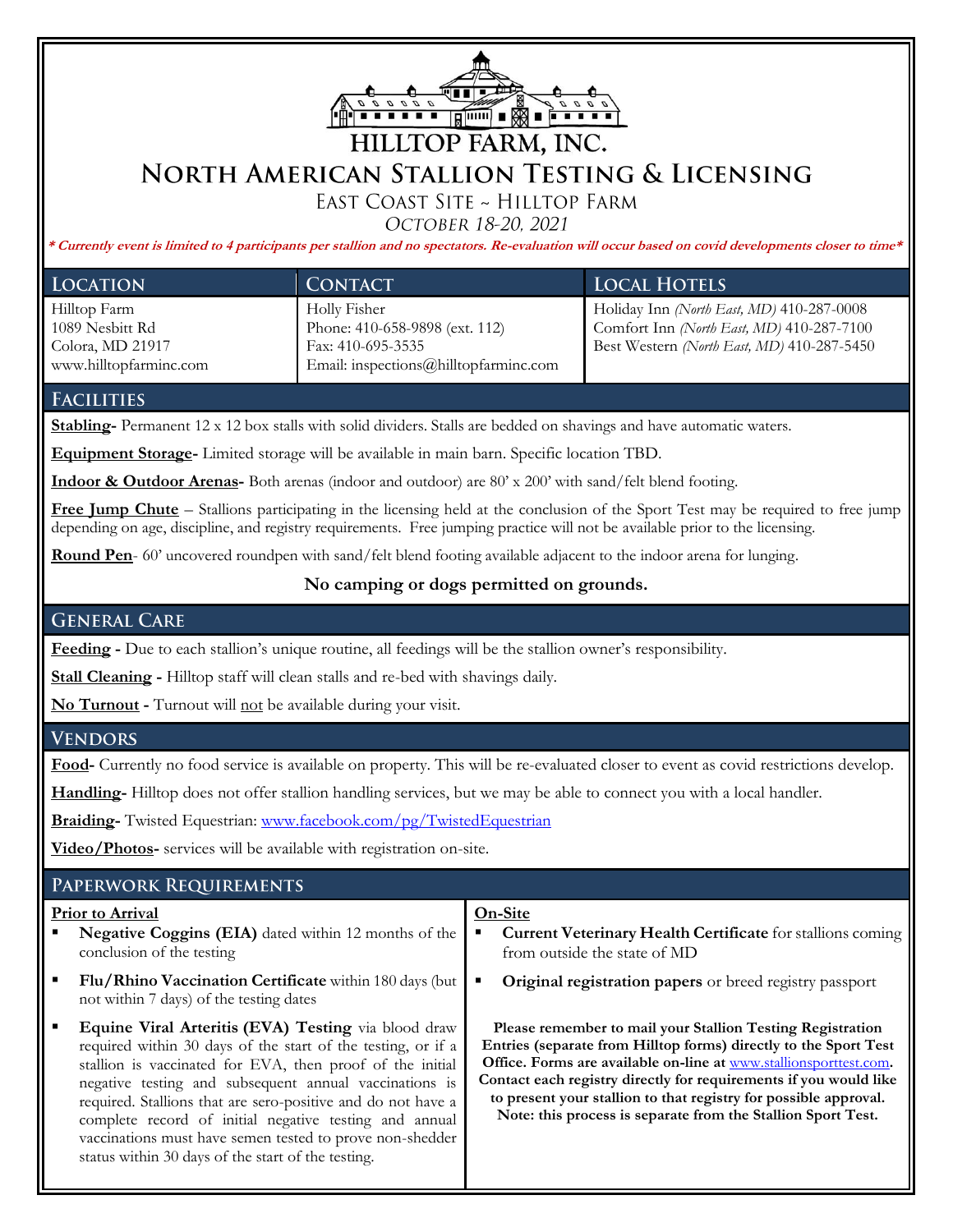

# **NORTH AMERICAN STALLION TESTING & LICENSING**

EAST COAST SITE ~ HILLTOP FARM

OCTOBER 18-20, 2021

**\* Currently event is limited to 4 participants per stallion and no spectators. Re-evaluation will occur based on covid developments closer to time\***

| <b>LOCATION</b>        | <b>CONTACT</b>                        | <b>LOCAL HOTELS</b>                        |
|------------------------|---------------------------------------|--------------------------------------------|
| Hilltop Farm           | Holly Fisher                          | Holiday Inn (North East, MD) 410-287-0008  |
| 1089 Nesbitt Rd        | Phone: 410-658-9898 (ext. 112)        | Comfort Inn (North East, MD) 410-287-7100  |
| Colora, MD 21917       | Fax: 410-695-3535                     | Best Western (North East, MD) 410-287-5450 |
| www.hilltopfarminc.com | Email: inspections@hilltopfarminc.com |                                            |

## **FACILITIES**

**Stabling-** Permanent 12 x 12 box stalls with solid dividers. Stalls are bedded on shavings and have automatic waters.

**Equipment Storage-** Limited storage will be available in main barn. Specific location TBD.

**Indoor & Outdoor Arenas-** Both arenas (indoor and outdoor) are 80' x 200' with sand/felt blend footing.

**Free Jump Chute** – Stallions participating in the licensing held at the conclusion of the Sport Test may be required to free jump depending on age, discipline, and registry requirements. Free jumping practice will not be available prior to the licensing.

**Round Pen**- 60' uncovered roundpen with sand/felt blend footing available adjacent to the indoor arena for lunging.

### **No camping or dogs permitted on grounds.**

# **GENERAL CARE**

**Feeding -** Due to each stallion's unique routine, all feedings will be the stallion owner's responsibility.

**Stall Cleaning -** Hilltop staff will clean stalls and re-bed with shavings daily.

**No Turnout -** Turnout will not be available during your visit.

### **VENDORS**

**Food-** Currently no food service is available on property. This will be re-evaluated closer to event as covid restrictions develop.

**Handling-** Hilltop does not offer stallion handling services, but we may be able to connect you with a local handler.

**Braiding-** Twisted Equestrian: www.facebook.com/pg/TwistedEquestrian

**Video/Photos-** services will be available with registration on-site.

# PAPERWORK REQUIREMENTS

#### **Prior to Arrival Negative Coggins (EIA)** dated within 12 months of the conclusion of the testing ▪ **Flu/Rhino Vaccination Certificate** within 180 days (but not within 7 days) of the testing dates ▪ **Equine Viral Arteritis (EVA) Testing** via blood draw required within 30 days of the start of the testing, or if a stallion is vaccinated for EVA, then proof of the initial negative testing and subsequent annual vaccinations is required. Stallions that are sero-positive and do not have a complete record of initial negative testing and annual vaccinations must have semen tested to prove non-shedder status within 30 days of the start of the testing. **On-Site Current Veterinary Health Certificate** for stallions coming from outside the state of MD ▪ **Original registration papers** or breed registry passport **Please remember to mail your Stallion Testing Registration Entries (separate from Hilltop forms) directly to the Sport Test Office. Forms are available on-line at** www.stallionsporttest.com**. Contact each registry directly for requirements if you would like to present your stallion to that registry for possible approval. Note: this process is separate from the Stallion Sport Test.**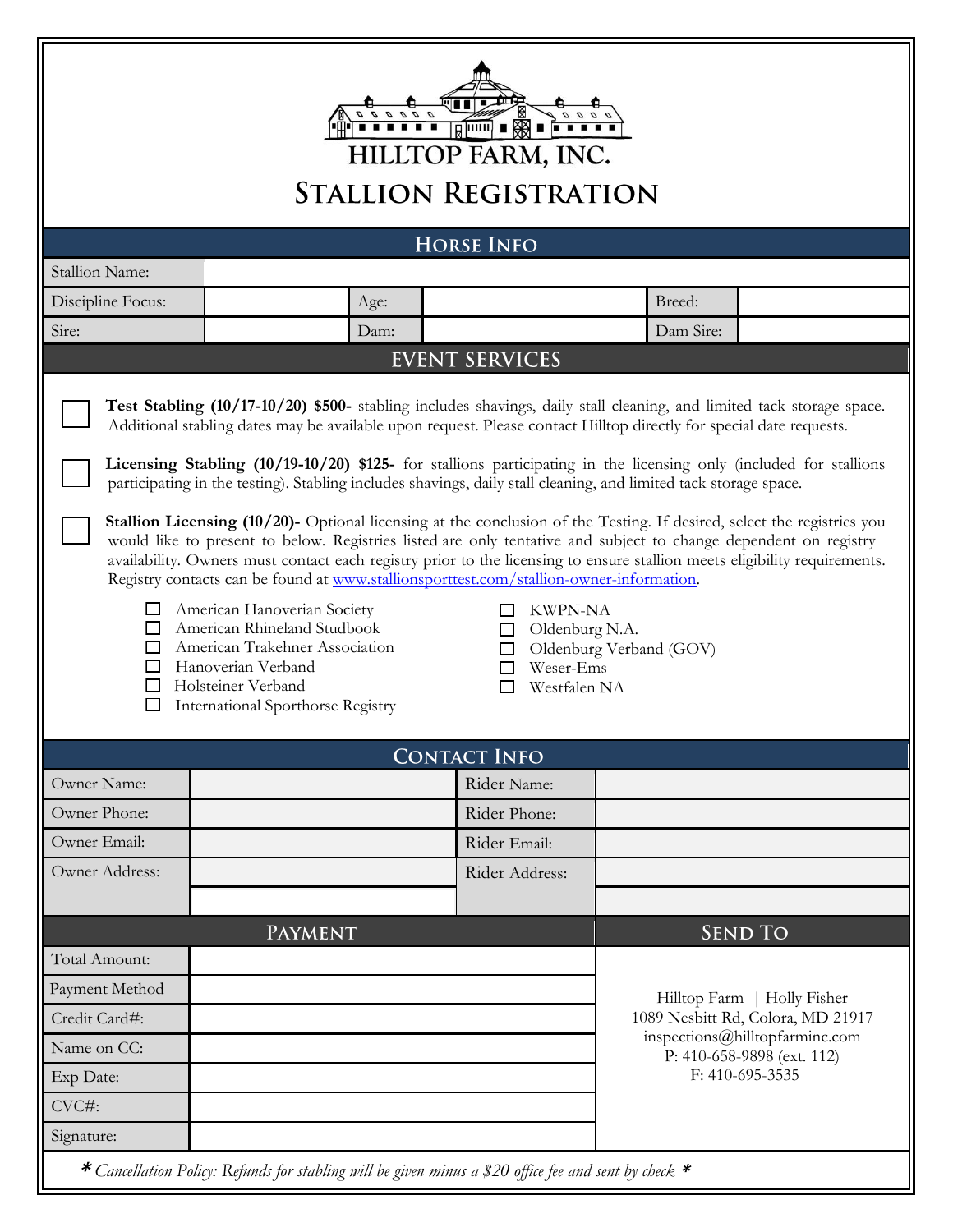

| <b>HORSE INFO</b>                                                                                                                                                                                                                                                                                                                                                                                                                                                                                                                                                                                                                                                                                                                                                                                                                                                                                                                                                                                                                                                                                                                                                                                                                                     |         |                                                                     |                     |           |                             |  |
|-------------------------------------------------------------------------------------------------------------------------------------------------------------------------------------------------------------------------------------------------------------------------------------------------------------------------------------------------------------------------------------------------------------------------------------------------------------------------------------------------------------------------------------------------------------------------------------------------------------------------------------------------------------------------------------------------------------------------------------------------------------------------------------------------------------------------------------------------------------------------------------------------------------------------------------------------------------------------------------------------------------------------------------------------------------------------------------------------------------------------------------------------------------------------------------------------------------------------------------------------------|---------|---------------------------------------------------------------------|---------------------|-----------|-----------------------------|--|
| <b>Stallion Name:</b>                                                                                                                                                                                                                                                                                                                                                                                                                                                                                                                                                                                                                                                                                                                                                                                                                                                                                                                                                                                                                                                                                                                                                                                                                                 |         |                                                                     |                     |           |                             |  |
| Discipline Focus:                                                                                                                                                                                                                                                                                                                                                                                                                                                                                                                                                                                                                                                                                                                                                                                                                                                                                                                                                                                                                                                                                                                                                                                                                                     |         | Age:                                                                |                     | Breed:    |                             |  |
| Sire:                                                                                                                                                                                                                                                                                                                                                                                                                                                                                                                                                                                                                                                                                                                                                                                                                                                                                                                                                                                                                                                                                                                                                                                                                                                 |         | Dam:                                                                |                     | Dam Sire: |                             |  |
| <b>EVENT SERVICES</b>                                                                                                                                                                                                                                                                                                                                                                                                                                                                                                                                                                                                                                                                                                                                                                                                                                                                                                                                                                                                                                                                                                                                                                                                                                 |         |                                                                     |                     |           |                             |  |
| Test Stabling (10/17-10/20) \$500- stabling includes shavings, daily stall cleaning, and limited tack storage space.<br>Additional stabling dates may be available upon request. Please contact Hilltop directly for special date requests.<br>Licensing Stabling (10/19-10/20) \$125- for stallions participating in the licensing only (included for stallions<br>participating in the testing). Stabling includes shavings, daily stall cleaning, and limited tack storage space.<br><b>Stallion Licensing (10/20)-</b> Optional licensing at the conclusion of the Testing. If desired, select the registries you<br>would like to present to below. Registries listed are only tentative and subject to change dependent on registry<br>availability. Owners must contact each registry prior to the licensing to ensure stallion meets eligibility requirements.<br>Registry contacts can be found at www.stallionsporttest.com/stallion-owner-information.<br>American Hanoverian Society<br><b>KWPN-NA</b><br>American Rhineland Studbook<br>Oldenburg N.A.<br>American Trakehner Association<br>Oldenburg Verband (GOV)<br>Hanoverian Verband<br>Weser-Ems<br>Holsteiner Verband<br>Westfalen NA<br><b>International Sporthorse Registry</b> |         |                                                                     |                     |           |                             |  |
|                                                                                                                                                                                                                                                                                                                                                                                                                                                                                                                                                                                                                                                                                                                                                                                                                                                                                                                                                                                                                                                                                                                                                                                                                                                       |         |                                                                     | <b>CONTACT INFO</b> |           |                             |  |
| Owner Name:                                                                                                                                                                                                                                                                                                                                                                                                                                                                                                                                                                                                                                                                                                                                                                                                                                                                                                                                                                                                                                                                                                                                                                                                                                           |         |                                                                     | Rider Name:         |           |                             |  |
| Owner Phone:                                                                                                                                                                                                                                                                                                                                                                                                                                                                                                                                                                                                                                                                                                                                                                                                                                                                                                                                                                                                                                                                                                                                                                                                                                          |         |                                                                     | Rider Phone:        |           |                             |  |
| Owner Email:                                                                                                                                                                                                                                                                                                                                                                                                                                                                                                                                                                                                                                                                                                                                                                                                                                                                                                                                                                                                                                                                                                                                                                                                                                          |         |                                                                     | Rider Email:        |           |                             |  |
| Owner Address:                                                                                                                                                                                                                                                                                                                                                                                                                                                                                                                                                                                                                                                                                                                                                                                                                                                                                                                                                                                                                                                                                                                                                                                                                                        |         |                                                                     | Rider Address:      |           |                             |  |
|                                                                                                                                                                                                                                                                                                                                                                                                                                                                                                                                                                                                                                                                                                                                                                                                                                                                                                                                                                                                                                                                                                                                                                                                                                                       |         |                                                                     |                     |           |                             |  |
|                                                                                                                                                                                                                                                                                                                                                                                                                                                                                                                                                                                                                                                                                                                                                                                                                                                                                                                                                                                                                                                                                                                                                                                                                                                       | Payment |                                                                     |                     |           | <b>SEND TO</b>              |  |
| Total Amount:                                                                                                                                                                                                                                                                                                                                                                                                                                                                                                                                                                                                                                                                                                                                                                                                                                                                                                                                                                                                                                                                                                                                                                                                                                         |         |                                                                     |                     |           |                             |  |
| Payment Method                                                                                                                                                                                                                                                                                                                                                                                                                                                                                                                                                                                                                                                                                                                                                                                                                                                                                                                                                                                                                                                                                                                                                                                                                                        |         |                                                                     |                     |           | Hilltop Farm   Holly Fisher |  |
| Credit Card#:                                                                                                                                                                                                                                                                                                                                                                                                                                                                                                                                                                                                                                                                                                                                                                                                                                                                                                                                                                                                                                                                                                                                                                                                                                         |         | 1089 Nesbitt Rd, Colora, MD 21917<br>inspections@hilltopfarminc.com |                     |           |                             |  |
| Name on CC:                                                                                                                                                                                                                                                                                                                                                                                                                                                                                                                                                                                                                                                                                                                                                                                                                                                                                                                                                                                                                                                                                                                                                                                                                                           |         |                                                                     |                     |           | P: 410-658-9898 (ext. 112)  |  |
| Exp Date:                                                                                                                                                                                                                                                                                                                                                                                                                                                                                                                                                                                                                                                                                                                                                                                                                                                                                                                                                                                                                                                                                                                                                                                                                                             |         |                                                                     |                     |           | F: 410-695-3535             |  |
| CVC#:                                                                                                                                                                                                                                                                                                                                                                                                                                                                                                                                                                                                                                                                                                                                                                                                                                                                                                                                                                                                                                                                                                                                                                                                                                                 |         |                                                                     |                     |           |                             |  |
| Signature:                                                                                                                                                                                                                                                                                                                                                                                                                                                                                                                                                                                                                                                                                                                                                                                                                                                                                                                                                                                                                                                                                                                                                                                                                                            |         |                                                                     |                     |           |                             |  |

**\*** *Cancellation Policy: Refunds for stabling will be given minus a \$20 office fee and sent by check* **\***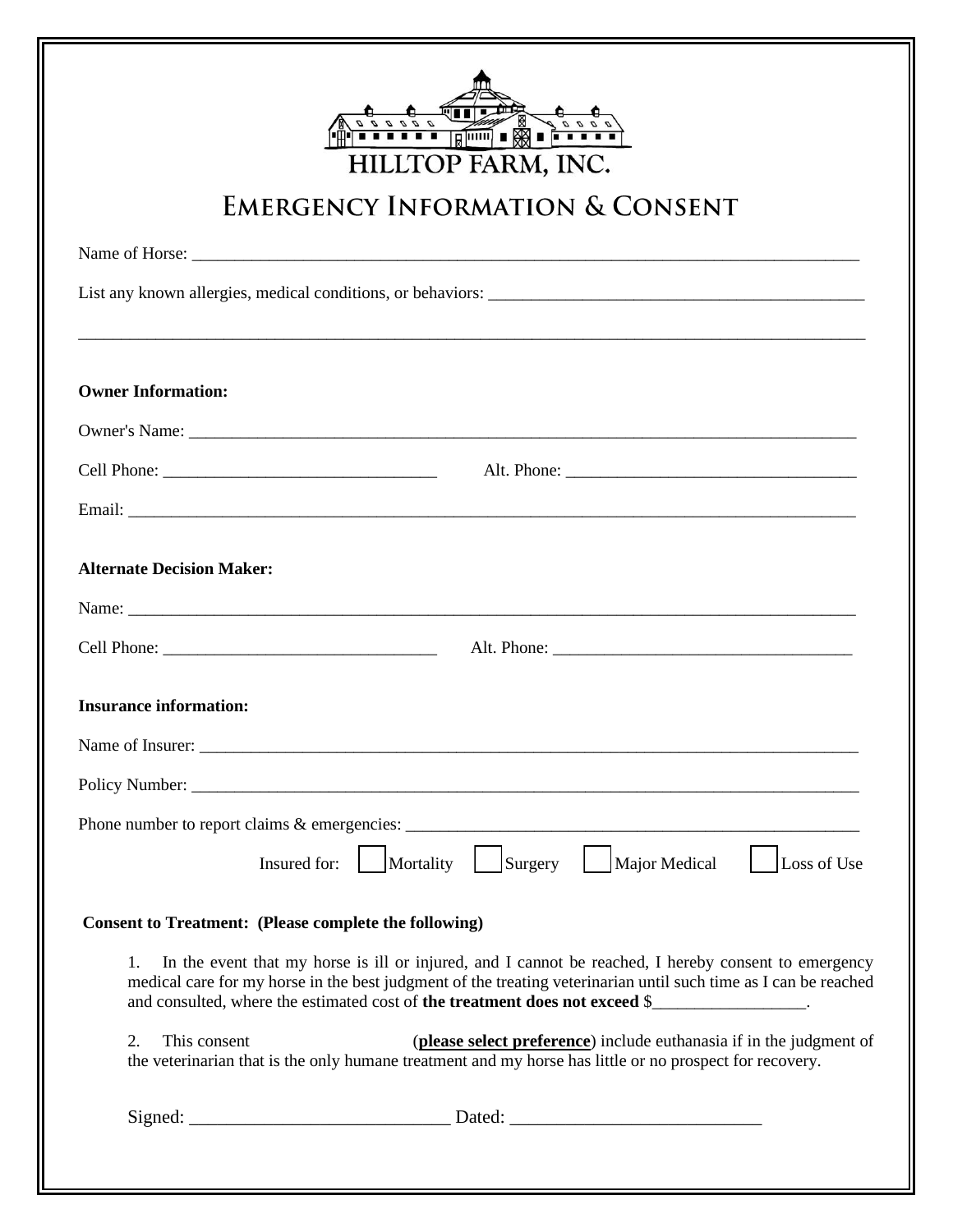| <del></del><br>HILLTOP FARM, INC.                                                                                                                                                                                                                                                                            |  |  |  |  |
|--------------------------------------------------------------------------------------------------------------------------------------------------------------------------------------------------------------------------------------------------------------------------------------------------------------|--|--|--|--|
| <b>EMERGENCY INFORMATION &amp; CONSENT</b>                                                                                                                                                                                                                                                                   |  |  |  |  |
|                                                                                                                                                                                                                                                                                                              |  |  |  |  |
|                                                                                                                                                                                                                                                                                                              |  |  |  |  |
|                                                                                                                                                                                                                                                                                                              |  |  |  |  |
| <b>Owner Information:</b>                                                                                                                                                                                                                                                                                    |  |  |  |  |
|                                                                                                                                                                                                                                                                                                              |  |  |  |  |
|                                                                                                                                                                                                                                                                                                              |  |  |  |  |
|                                                                                                                                                                                                                                                                                                              |  |  |  |  |
| <b>Alternate Decision Maker:</b>                                                                                                                                                                                                                                                                             |  |  |  |  |
| Name: $\frac{1}{2}$                                                                                                                                                                                                                                                                                          |  |  |  |  |
|                                                                                                                                                                                                                                                                                                              |  |  |  |  |
|                                                                                                                                                                                                                                                                                                              |  |  |  |  |
| <b>Insurance information:</b>                                                                                                                                                                                                                                                                                |  |  |  |  |
|                                                                                                                                                                                                                                                                                                              |  |  |  |  |
|                                                                                                                                                                                                                                                                                                              |  |  |  |  |
|                                                                                                                                                                                                                                                                                                              |  |  |  |  |
| Insured for: Mortality Surgery Major Medical<br>Loss of Use                                                                                                                                                                                                                                                  |  |  |  |  |
| <b>Consent to Treatment: (Please complete the following)</b>                                                                                                                                                                                                                                                 |  |  |  |  |
| In the event that my horse is ill or injured, and I cannot be reached, I hereby consent to emergency<br>1.<br>medical care for my horse in the best judgment of the treating veterinarian until such time as I can be reached<br>and consulted, where the estimated cost of the treatment does not exceed \$ |  |  |  |  |
| 2.<br>This consent<br>(please select preference) include euthanasia if in the judgment of<br>the veterinarian that is the only humane treatment and my horse has little or no prospect for recovery.                                                                                                         |  |  |  |  |
|                                                                                                                                                                                                                                                                                                              |  |  |  |  |
|                                                                                                                                                                                                                                                                                                              |  |  |  |  |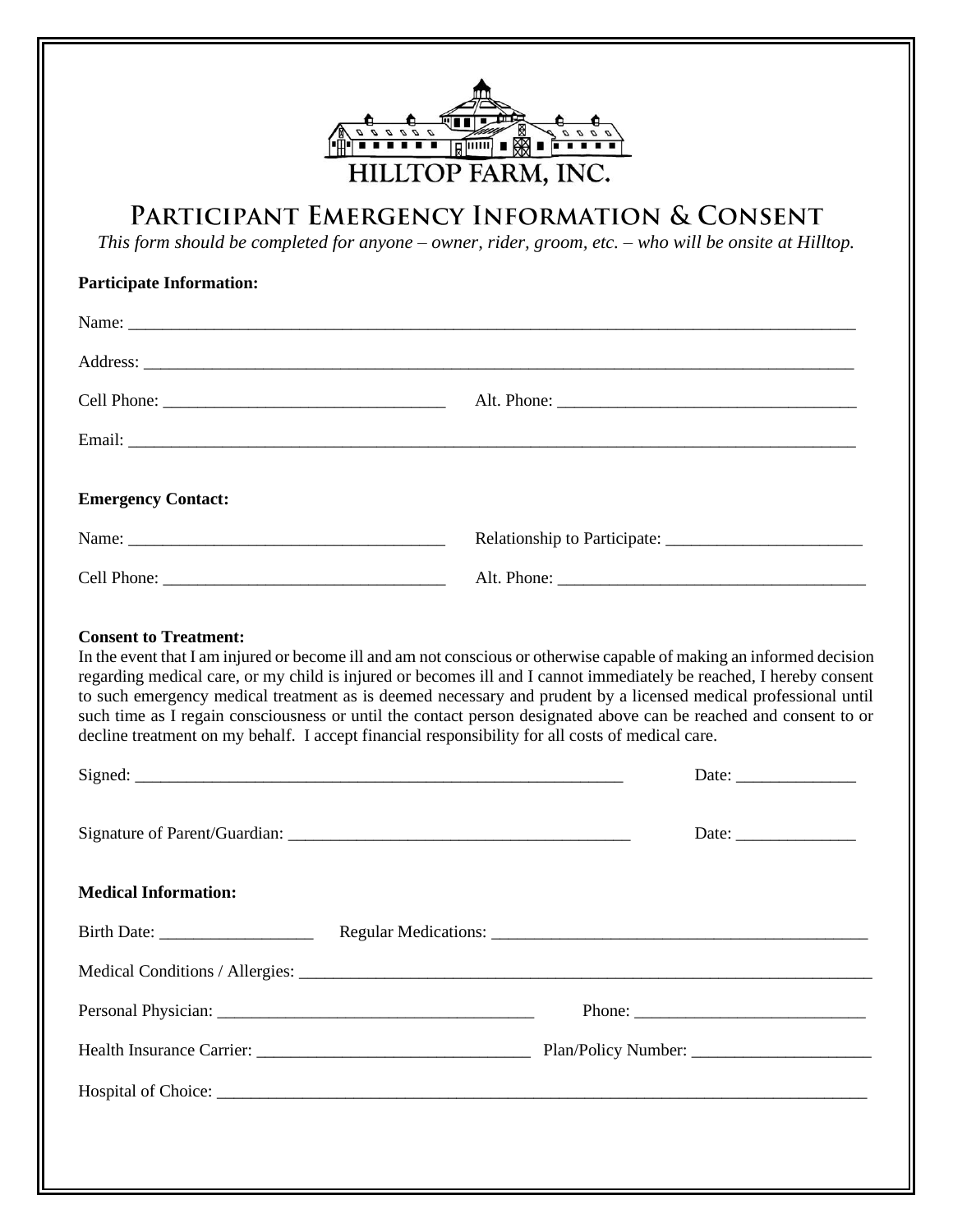

# PARTICIPANT EMERGENCY INFORMATION & CONSENT

*This form should be completed for anyone – owner, rider, groom, etc. – who will be onsite at Hilltop.*

| <b>Participate Information:</b>                                                                                                                                                                                                                                                                                                                                                                                                                                                                                                                                                                     |  |                                                        |
|-----------------------------------------------------------------------------------------------------------------------------------------------------------------------------------------------------------------------------------------------------------------------------------------------------------------------------------------------------------------------------------------------------------------------------------------------------------------------------------------------------------------------------------------------------------------------------------------------------|--|--------------------------------------------------------|
|                                                                                                                                                                                                                                                                                                                                                                                                                                                                                                                                                                                                     |  |                                                        |
|                                                                                                                                                                                                                                                                                                                                                                                                                                                                                                                                                                                                     |  |                                                        |
|                                                                                                                                                                                                                                                                                                                                                                                                                                                                                                                                                                                                     |  |                                                        |
|                                                                                                                                                                                                                                                                                                                                                                                                                                                                                                                                                                                                     |  |                                                        |
| <b>Emergency Contact:</b>                                                                                                                                                                                                                                                                                                                                                                                                                                                                                                                                                                           |  |                                                        |
|                                                                                                                                                                                                                                                                                                                                                                                                                                                                                                                                                                                                     |  |                                                        |
|                                                                                                                                                                                                                                                                                                                                                                                                                                                                                                                                                                                                     |  |                                                        |
| In the event that I am injured or become ill and am not conscious or otherwise capable of making an informed decision<br>regarding medical care, or my child is injured or becomes ill and I cannot immediately be reached, I hereby consent<br>to such emergency medical treatment as is deemed necessary and prudent by a licensed medical professional until<br>such time as I regain consciousness or until the contact person designated above can be reached and consent to or<br>decline treatment on my behalf. I accept financial responsibility for all costs of medical care.<br>Signed: |  | Date: $\frac{1}{\sqrt{1-\frac{1}{2}}\cdot\frac{1}{2}}$ |
|                                                                                                                                                                                                                                                                                                                                                                                                                                                                                                                                                                                                     |  | Date:                                                  |
| <b>Medical Information:</b>                                                                                                                                                                                                                                                                                                                                                                                                                                                                                                                                                                         |  |                                                        |
|                                                                                                                                                                                                                                                                                                                                                                                                                                                                                                                                                                                                     |  |                                                        |
| Medical Conditions / Allergies: ________                                                                                                                                                                                                                                                                                                                                                                                                                                                                                                                                                            |  |                                                        |
|                                                                                                                                                                                                                                                                                                                                                                                                                                                                                                                                                                                                     |  |                                                        |
|                                                                                                                                                                                                                                                                                                                                                                                                                                                                                                                                                                                                     |  |                                                        |
|                                                                                                                                                                                                                                                                                                                                                                                                                                                                                                                                                                                                     |  |                                                        |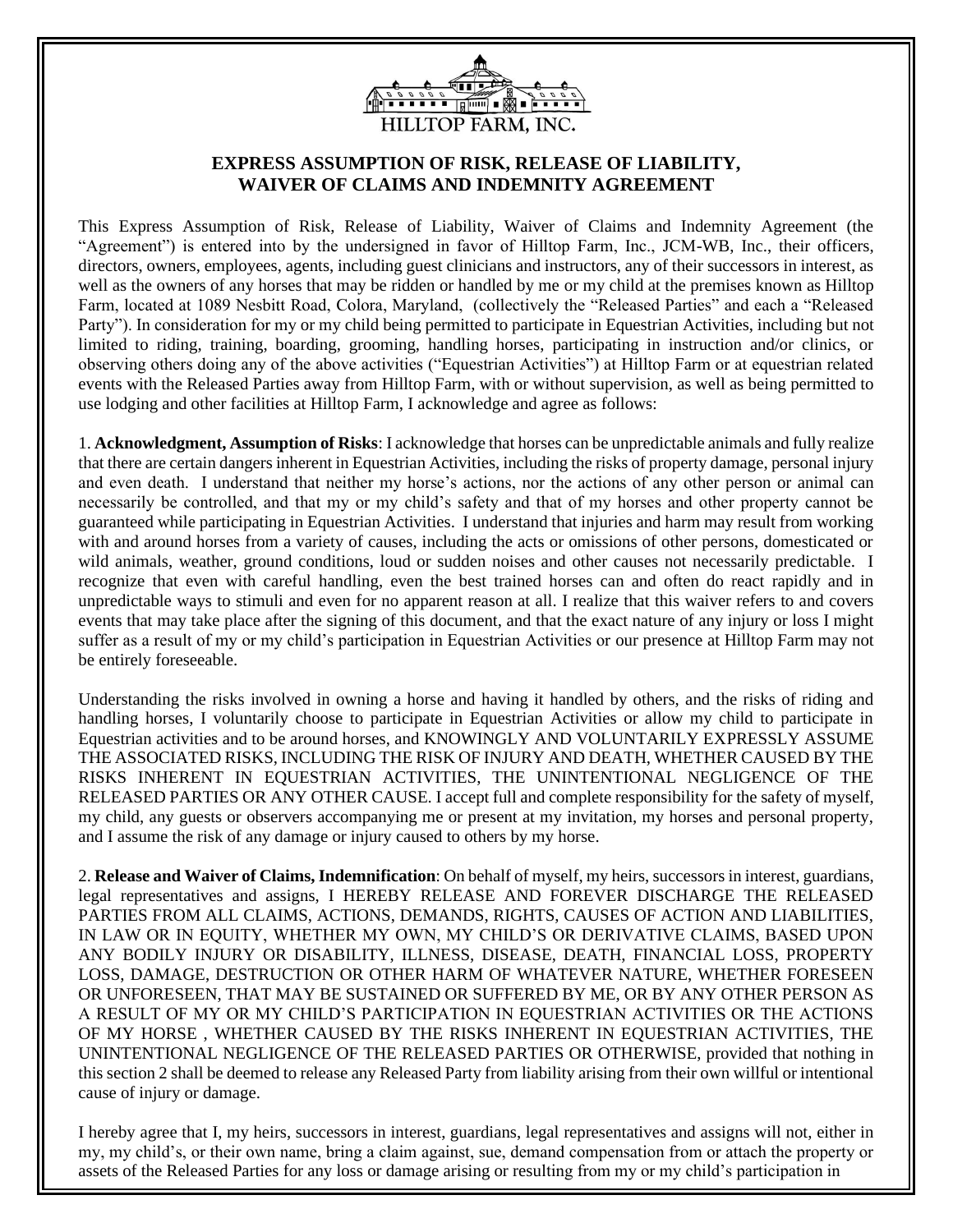

# **EXPRESS ASSUMPTION OF RISK, RELEASE OF LIABILITY, WAIVER OF CLAIMS AND INDEMNITY AGREEMENT**

This Express Assumption of Risk, Release of Liability, Waiver of Claims and Indemnity Agreement (the "Agreement") is entered into by the undersigned in favor of Hilltop Farm, Inc., JCM-WB, Inc., their officers, directors, owners, employees, agents, including guest clinicians and instructors, any of their successors in interest, as well as the owners of any horses that may be ridden or handled by me or my child at the premises known as Hilltop Farm, located at 1089 Nesbitt Road, Colora, Maryland, (collectively the "Released Parties" and each a "Released Party"). In consideration for my or my child being permitted to participate in Equestrian Activities, including but not limited to riding, training, boarding, grooming, handling horses, participating in instruction and/or clinics, or observing others doing any of the above activities ("Equestrian Activities") at Hilltop Farm or at equestrian related events with the Released Parties away from Hilltop Farm, with or without supervision, as well as being permitted to use lodging and other facilities at Hilltop Farm, I acknowledge and agree as follows:

1. **Acknowledgment, Assumption of Risks**: I acknowledge that horses can be unpredictable animals and fully realize that there are certain dangers inherent in Equestrian Activities, including the risks of property damage, personal injury and even death. I understand that neither my horse's actions, nor the actions of any other person or animal can necessarily be controlled, and that my or my child's safety and that of my horses and other property cannot be guaranteed while participating in Equestrian Activities. I understand that injuries and harm may result from working with and around horses from a variety of causes, including the acts or omissions of other persons, domesticated or wild animals, weather, ground conditions, loud or sudden noises and other causes not necessarily predictable. I recognize that even with careful handling, even the best trained horses can and often do react rapidly and in unpredictable ways to stimuli and even for no apparent reason at all. I realize that this waiver refers to and covers events that may take place after the signing of this document, and that the exact nature of any injury or loss I might suffer as a result of my or my child's participation in Equestrian Activities or our presence at Hilltop Farm may not be entirely foreseeable.

Understanding the risks involved in owning a horse and having it handled by others, and the risks of riding and handling horses, I voluntarily choose to participate in Equestrian Activities or allow my child to participate in Equestrian activities and to be around horses, and KNOWINGLY AND VOLUNTARILY EXPRESSLY ASSUME THE ASSOCIATED RISKS, INCLUDING THE RISK OF INJURY AND DEATH, WHETHER CAUSED BY THE RISKS INHERENT IN EQUESTRIAN ACTIVITIES, THE UNINTENTIONAL NEGLIGENCE OF THE RELEASED PARTIES OR ANY OTHER CAUSE. I accept full and complete responsibility for the safety of myself, my child, any guests or observers accompanying me or present at my invitation, my horses and personal property, and I assume the risk of any damage or injury caused to others by my horse.

2. **Release and Waiver of Claims, Indemnification**: On behalf of myself, my heirs, successors in interest, guardians, legal representatives and assigns, I HEREBY RELEASE AND FOREVER DISCHARGE THE RELEASED PARTIES FROM ALL CLAIMS, ACTIONS, DEMANDS, RIGHTS, CAUSES OF ACTION AND LIABILITIES, IN LAW OR IN EQUITY, WHETHER MY OWN, MY CHILD'S OR DERIVATIVE CLAIMS, BASED UPON ANY BODILY INJURY OR DISABILITY, ILLNESS, DISEASE, DEATH, FINANCIAL LOSS, PROPERTY LOSS, DAMAGE, DESTRUCTION OR OTHER HARM OF WHATEVER NATURE, WHETHER FORESEEN OR UNFORESEEN, THAT MAY BE SUSTAINED OR SUFFERED BY ME, OR BY ANY OTHER PERSON AS A RESULT OF MY OR MY CHILD'S PARTICIPATION IN EQUESTRIAN ACTIVITIES OR THE ACTIONS OF MY HORSE , WHETHER CAUSED BY THE RISKS INHERENT IN EQUESTRIAN ACTIVITIES, THE UNINTENTIONAL NEGLIGENCE OF THE RELEASED PARTIES OR OTHERWISE, provided that nothing in this section 2 shall be deemed to release any Released Party from liability arising from their own willful or intentional cause of injury or damage.

I hereby agree that I, my heirs, successors in interest, guardians, legal representatives and assigns will not, either in my, my child's, or their own name, bring a claim against, sue, demand compensation from or attach the property or assets of the Released Parties for any loss or damage arising or resulting from my or my child's participation in